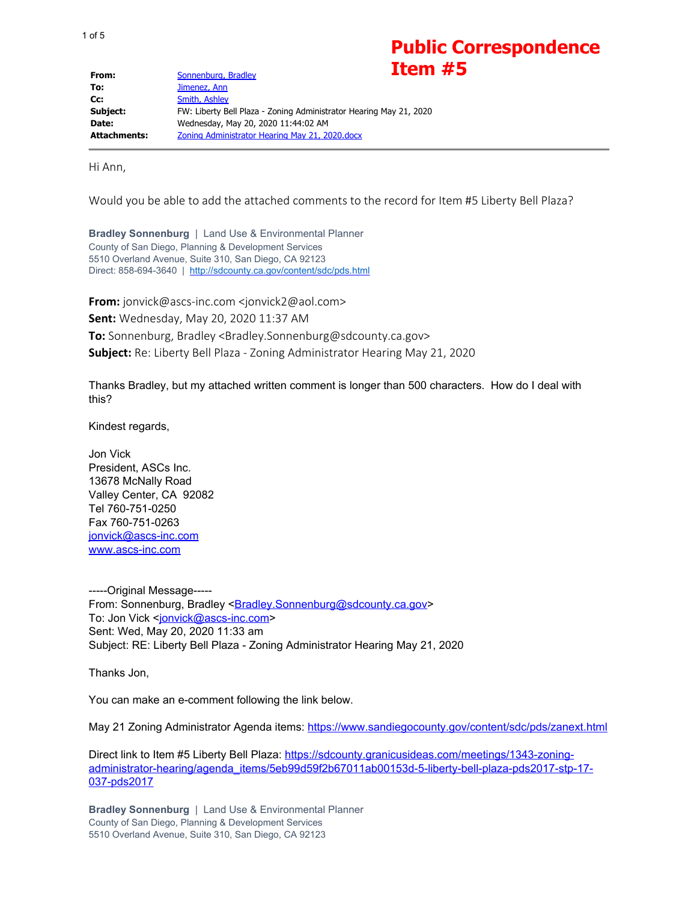## **Public Correspondence Item #5**

| From:               | лчын<br>Sonnenburg, Bradley                                        |
|---------------------|--------------------------------------------------------------------|
| To:                 | Jimenez, Ann                                                       |
| $Cc$ :              | Smith, Ashley                                                      |
| Subject:            | FW: Liberty Bell Plaza - Zoning Administrator Hearing May 21, 2020 |
| Date:               | Wednesday, May 20, 2020 11:44:02 AM                                |
| <b>Attachments:</b> | Zoning Administrator Hearing May 21, 2020.docx                     |

Hi Ann,

Would you be able to add the attached comments to the record for Item #5 Liberty Bell Plaza?

**Bradley Sonnenburg** | Land Use & Environmental Planner County of San Diego, Planning & Development Services 5510 Overland Avenue, Suite 310, San Diego, CA 92123 Direct: 858-694-3640 | <http://sdcounty.ca.gov/content/sdc/pds.html>

**From:** jonvick@ascs-inc.com <jonvick2@aol.com> **Sent:** Wednesday, May 20, 2020 11:37 AM **To:** Sonnenburg, Bradley <Bradley.Sonnenburg@sdcounty.ca.gov> **Subject:** Re: Liberty Bell Plaza - Zoning Administrator Hearing May 21, 2020

Thanks Bradley, but my attached written comment is longer than 500 characters. How do I deal with this?

Kindest regards,

Jon Vick President, ASCs Inc. 13678 McNally Road Valley Center, CA 92082 Tel 760-751-0250 Fax 760-751-0263 [jonvick@ascs-inc.com](mailto:jonvick@ascs-inc.com) [www.ascs-inc.com](http://www.ascs-inc.com/)

-----Original Message----- From: Sonnenburg, Bradley <**Bradley.Sonnenburg@sdcounty.ca.gov>** To: Jon Vick [<jonvick@ascs-inc.com](mailto:jonvick@ascs-inc.com)> Sent: Wed, May 20, 2020 11:33 am Subject: RE: Liberty Bell Plaza - Zoning Administrator Hearing May 21, 2020

Thanks Jon,

You can make an e-comment following the link below.

May 21 Zoning Administrator Agenda items: <https://www.sandiegocounty.gov/content/sdc/pds/zanext.html>

Direct link to Item #5 Liberty Bell Plaza: [https://sdcounty.granicusideas.com/meetings/1343-zoning](https://sdcounty.granicusideas.com/meetings/1343-zoning-administrator-hearing/agenda_items/5eb99d59f2b67011ab00153d-5-liberty-bell-plaza-pds2017-stp-17-037-pds2017)[administrator-hearing/agenda\\_items/5eb99d59f2b67011ab00153d-5-liberty-bell-plaza-pds2017-stp-17-](https://sdcounty.granicusideas.com/meetings/1343-zoning-administrator-hearing/agenda_items/5eb99d59f2b67011ab00153d-5-liberty-bell-plaza-pds2017-stp-17-037-pds2017) [037-pds2017](https://sdcounty.granicusideas.com/meetings/1343-zoning-administrator-hearing/agenda_items/5eb99d59f2b67011ab00153d-5-liberty-bell-plaza-pds2017-stp-17-037-pds2017)

**Bradley Sonnenburg** | Land Use & Environmental Planner County of San Diego, Planning & Development Services 5510 Overland Avenue, Suite 310, San Diego, CA 92123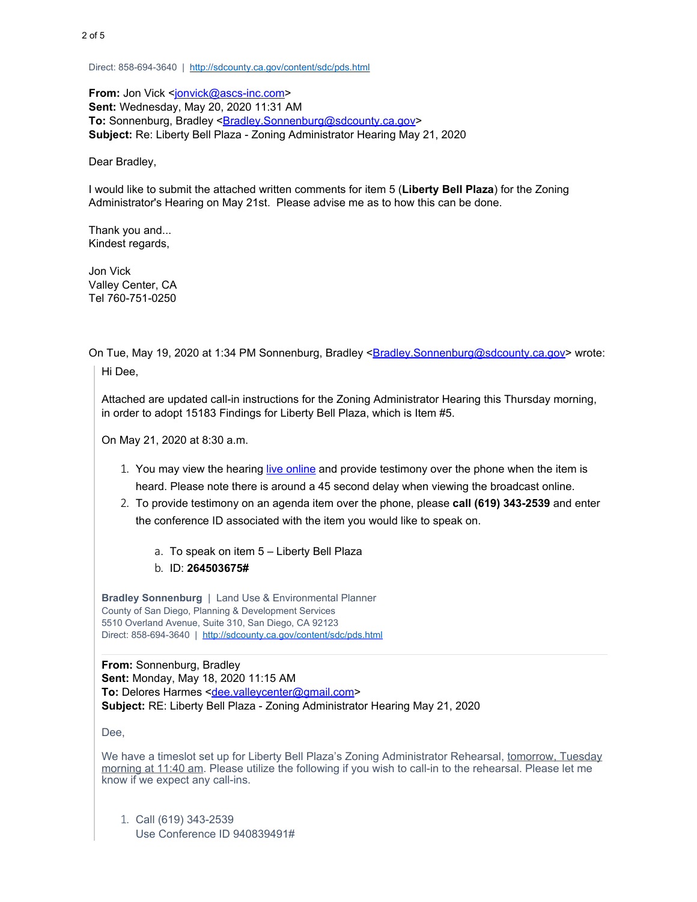Direct: 858-694-3640 | <http://sdcounty.ca.gov/content/sdc/pds.html>

**From:** Jon Vick [<jonvick@ascs-inc.com](mailto:jonvick@ascs-inc.com)> **Sent:** Wednesday, May 20, 2020 11:31 AM To: Sonnenburg, Bradley <**[Bradley.Sonnenburg@sdcounty.ca.gov](mailto:Bradley.Sonnenburg@sdcounty.ca.gov)> Subject:** Re: Liberty Bell Plaza - Zoning Administrator Hearing May 21, 2020

Dear Bradley,

I would like to submit the attached written comments for item 5 (**Liberty Bell Plaza**) for the Zoning Administrator's Hearing on May 21st. Please advise me as to how this can be done.

Thank you and... Kindest regards,

Jon Vick Valley Center, CA Tel 760-751-0250

On Tue, May 19, 2020 at 1:34 PM Sonnenburg, Bradley [<Bradley.Sonnenburg@sdcounty.ca.gov](mailto:Bradley.Sonnenburg@sdcounty.ca.gov)> wrote:

Hi Dee,

Attached are updated call-in instructions for the Zoning Administrator Hearing this Thursday morning, in order to adopt 15183 Findings for Liberty Bell Plaza, which is Item #5.

On May 21, 2020 at 8:30 a.m.

- 1. You may view the hearing live [online](https://www.sandiegocounty.gov/content/sdc/pds/zanext.html) and provide testimony over the phone when the item is heard. Please note there is around a 45 second delay when viewing the broadcast online.
- 2. To provide testimony on an agenda item over the phone, please **call (619) 343-2539** and enter the conference ID associated with the item you would like to speak on.
	- a. To speak on item 5 Liberty Bell Plaza
	- b. ID: **264503675#**

**Bradley Sonnenburg** | Land Use & Environmental Planner County of San Diego, Planning & Development Services 5510 Overland Avenue, Suite 310, San Diego, CA 92123 Direct: 858-694-3640 | <http://sdcounty.ca.gov/content/sdc/pds.html>

**From:** Sonnenburg, Bradley **Sent:** Monday, May 18, 2020 11:15 AM To: Delores Harmes [<dee.valleycenter@gmail.com](mailto:dee.valleycenter@gmail.com)> **Subject:** RE: Liberty Bell Plaza - Zoning Administrator Hearing May 21, 2020

Dee,

We have a timeslot set up for Liberty Bell Plaza's Zoning Administrator Rehearsal, tomorrow, Tuesday morning at 11:40 am. Please utilize the following if you wish to call-in to the rehearsal. Please let me know if we expect any call-ins.

1. Call (619) 343-2539 Use Conference ID 940839491#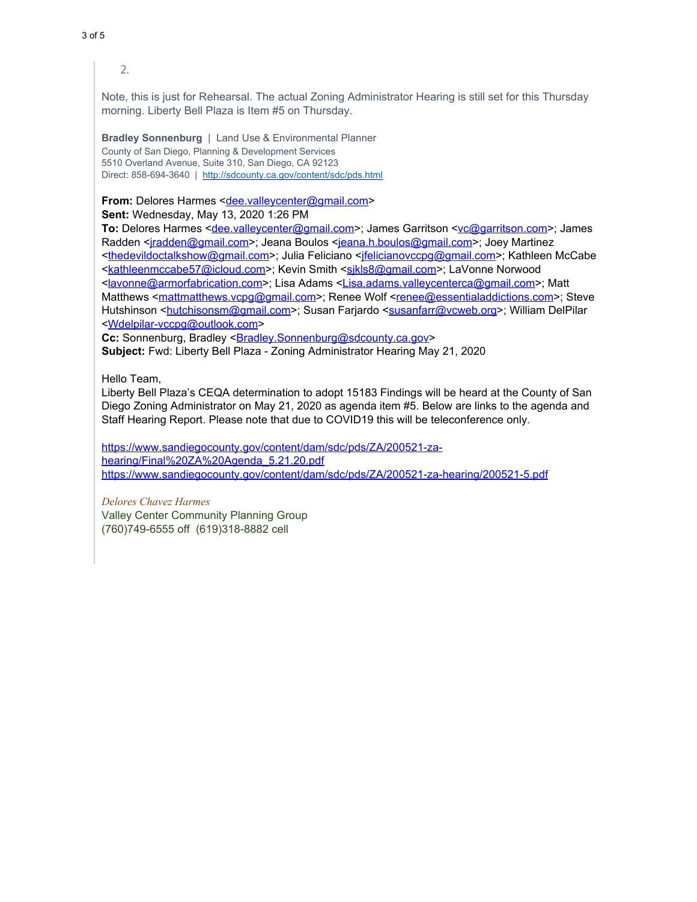2.

Note, this is just for Rehearsal. The actual Zoning Administrator Hearing is still set for this Thursday morning. Liberty Bell Plaza is Item #5 on Thursday.

**Bradley Sonnenburg** | Land Use & Environmental Planner County of San Diego, Planning & Development Services 5510 Overland Avenue, Suite 310, San Diego, CA 92123 Direct: 858-694-3640 | <http://sdcounty.ca.gov/content/sdc/pds.html>

**From:** Delores Harmes [<dee.valleycenter@gmail.com](mailto:dee.valleycenter@gmail.com)> **Sent:** Wednesday, May 13, 2020 1:26 PM

**To:** Delores Harmes [<dee.valleycenter@gmail.com](mailto:dee.valleycenter@gmail.com)>; James Garritson [<vc@garritson.com](mailto:vc@garritson.com)>; James Radden [<jradden@gmail.com](mailto:jradden@gmail.com)>; Jeana Boulos [<jeana.h.boulos@gmail.com](mailto:jeana.h.boulos@gmail.com)>; Joey Martinez <[thedevildoctalkshow@gmail.com](mailto:thedevildoctalkshow@gmail.com)>; Julia Feliciano [<jfelicianovccpg@gmail.com](mailto:jfelicianovccpg@gmail.com)>; Kathleen McCabe <[kathleenmccabe57@icloud.com](mailto:kathleenmccabe57@icloud.com)>; Kevin Smith <sikls8@gmail.com>; LaVonne Norwood <[lavonne@armorfabrication.com](mailto:lavonne@armorfabrication.com)>; Lisa Adams [<Lisa.adams.valleycenterca@gmail.com](mailto:Lisa.adams.valleycenterca@gmail.com)>; Matt Matthews [<mattmatthews.vcpg@gmail.com](mailto:mattmatthews.vcpg@gmail.com)>; Renee Wolf [<renee@essentialaddictions.com](mailto:renee@essentialaddictions.com)>; Steve Hutshinson <http://en.isonsm@gmail.com>; Susan Farjardo [<susanfarr@vcweb.org](mailto:susanfarr@vcweb.org)>; William DelPilar <[Wdelpilar-vccpg@outlook.com](mailto:Wdelpilar-vccpg@outlook.com)>

Cc: Sonnenburg, Bradley <**Bradley.Sonnenburg@sdcounty.ca.gov> Subject:** Fwd: Liberty Bell Plaza - Zoning Administrator Hearing May 21, 2020

Hello Team,

Liberty Bell Plaza's CEQA determination to adopt 15183 Findings will be heard at the County of San Diego Zoning Administrator on May 21, 2020 as agenda item #5. Below are links to the agenda and Staff Hearing Report. Please note that due to COVID19 this will be teleconference only.

[https://www.sandiegocounty.gov/content/dam/sdc/pds/ZA/200521-za](https://www.sandiegocounty.gov/content/dam/sdc/pds/ZA/200521-za-hearing/Final%2520ZA%2520Agenda_5.21.20.pdf)[hearing/Final%20ZA%20Agenda\\_5.21.20.pdf](https://www.sandiegocounty.gov/content/dam/sdc/pds/ZA/200521-za-hearing/Final%2520ZA%2520Agenda_5.21.20.pdf) <https://www.sandiegocounty.gov/content/dam/sdc/pds/ZA/200521-za-hearing/200521-5.pdf>

*Delores Chavez Harmes* Valley Center Community Planning Group (760)749-6555 off (619)318-8882 cell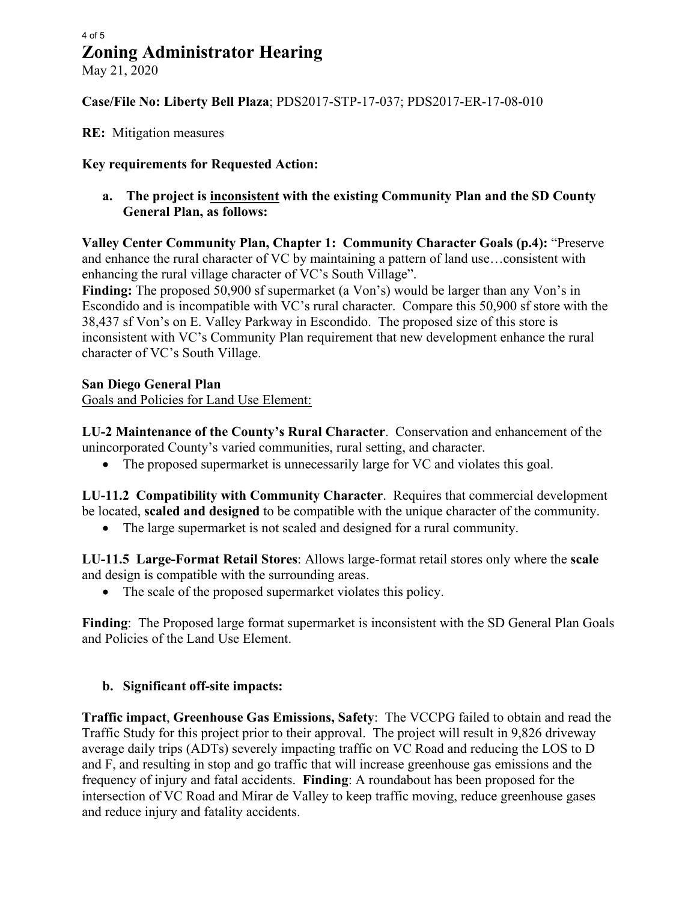### **Zoning Administrator Hearing** 4 of 5

May 21, 2020

#### **Case/File No: Liberty Bell Plaza**; PDS2017-STP-17-037; PDS2017-ER-17-08-010

#### **RE:** Mitigation measures

#### **Key requirements for Requested Action:**

**a. The project is inconsistent with the existing Community Plan and the SD County General Plan, as follows:** 

**Valley Center Community Plan, Chapter 1: Community Character Goals (p.4):** "Preserve and enhance the rural character of VC by maintaining a pattern of land use…consistent with enhancing the rural village character of VC's South Village".

**Finding:** The proposed 50,900 sf supermarket (a Von's) would be larger than any Von's in Escondido and is incompatible with VC's rural character. Compare this 50,900 sf store with the 38,437 sf Von's on E. Valley Parkway in Escondido. The proposed size of this store is inconsistent with VC's Community Plan requirement that new development enhance the rural character of VC's South Village.

#### **San Diego General Plan**

Goals and Policies for Land Use Element:

**LU-2 Maintenance of the County's Rural Character**. Conservation and enhancement of the unincorporated County's varied communities, rural setting, and character.

• The proposed supermarket is unnecessarily large for VC and violates this goal.

**LU-11.2 Compatibility with Community Character**. Requires that commercial development be located, **scaled and designed** to be compatible with the unique character of the community.

• The large supermarket is not scaled and designed for a rural community.

**LU-11.5 Large-Format Retail Stores**: Allows large-format retail stores only where the **scale** and design is compatible with the surrounding areas.

• The scale of the proposed supermarket violates this policy.

**Finding**: The Proposed large format supermarket is inconsistent with the SD General Plan Goals and Policies of the Land Use Element.

#### **b. Significant off-site impacts:**

**Traffic impact**, **Greenhouse Gas Emissions, Safety**: The VCCPG failed to obtain and read the Traffic Study for this project prior to their approval. The project will result in 9,826 driveway average daily trips (ADTs) severely impacting traffic on VC Road and reducing the LOS to D and F, and resulting in stop and go traffic that will increase greenhouse gas emissions and the frequency of injury and fatal accidents. **Finding**: A roundabout has been proposed for the intersection of VC Road and Mirar de Valley to keep traffic moving, reduce greenhouse gases and reduce injury and fatality accidents.